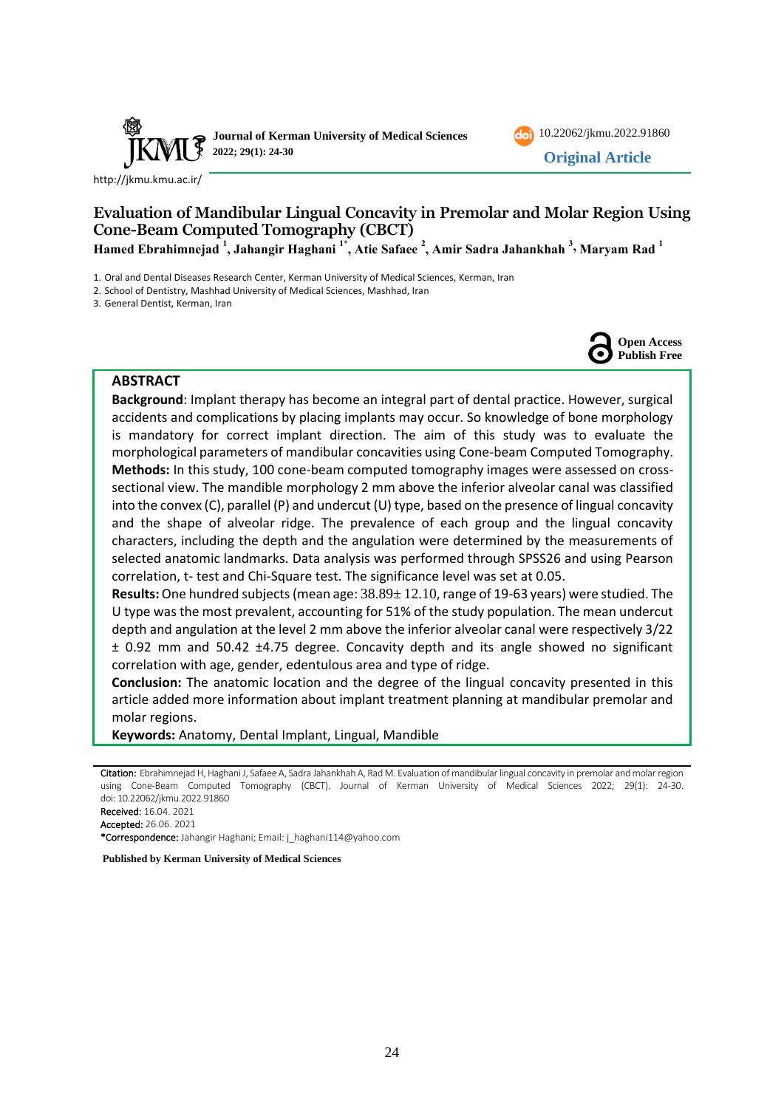



<http://jkmu.kmu.ac.ir/>

# **Evaluation of Mandibular Lingual Concavity in Premolar and Molar Region Using Cone-Beam Computed Tomography (CBCT)**

**Hamed Ebrahimnejad <sup>1</sup> , Jahangir Haghani 1\* , Atie Safaee <sup>2</sup> , Amir Sadra Jahankhah <sup>3</sup> , Maryam Rad <sup>1</sup>**

1. Oral and Dental Diseases Research Center, Kerman University of Medical Sciences, Kerman, Iran

2. School of Dentistry, Mashhad University of Medical Sciences, Mashhad, Iran

3. General Dentist, Kerman, Iran



### **ABSTRACT**

**Background**: Implant therapy has become an integral part of dental practice. However, surgical accidents and complications by placing implants may occur. So knowledge of bone morphology is mandatory for correct implant direction. The aim of this study was to evaluate the morphological parameters of mandibular concavities using Cone-beam Computed Tomography. **Methods:** In this study, 100 cone-beam computed tomography images were assessed on crosssectional view. The mandible morphology 2 mm above the inferior alveolar canal was classified into the convex (C), parallel (P) and undercut (U) type, based on the presence of lingual concavity and the shape of alveolar ridge. The prevalence of each group and the lingual concavity characters, including the depth and the angulation were determined by the measurements of selected anatomic landmarks. Data analysis was performed through SPSS26 and using Pearson correlation, t- test and Chi-Square test. The significance level was set at 0.05.

**Results:** One hundred subjects (mean age: 38.89± 12.10, range of 19-63 years) were studied. The U type was the most prevalent, accounting for 51% of the study population. The mean undercut depth and angulation at the level 2 mm above the inferior alveolar canal were respectively 3/22 ± 0.92 mm and 50.42 ±4.75 degree. Concavity depth and its angle showed no significant correlation with age, gender, edentulous area and type of ridge.

**Conclusion:** The anatomic location and the degree of the lingual concavity presented in this article added more information about implant treatment planning at mandibular premolar and molar regions.

**Keywords:** Anatomy, Dental Implant, Lingual, Mandible

Citation: Ebrahimnejad H, Haghani J, Safaee A, Sadra Jahankhah A, Rad M. Evaluation of mandibular lingual concavity in premolar and molar region using Cone-Beam Computed Tomography (CBCT). Journal of Kerman University of Medical Sciences 2022; 29(1): 24-30. doi: 10.22062/jkmu.2022.91860 Received: 16.04. 2021

**Published by Kerman University of Medical Sciences**

Accepted: 26.06. 2021

<sup>\*</sup>Correspondence: Jahangir Haghani; Email: j\_haghani114@yahoo.com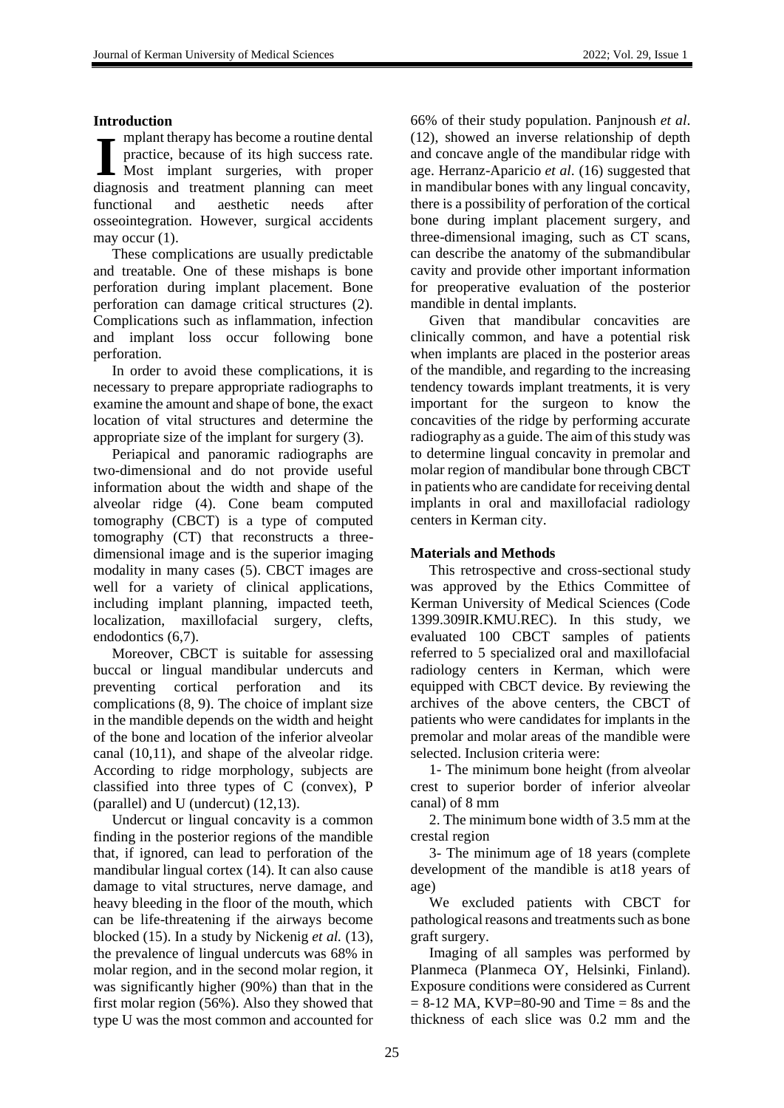### **Introduction**

- mplant therapy has become a routine dental practice, because of its high success rate. Most implant surgeries, with proper diagnosis and treatment planning can meet functional and aesthetic needs after osseointegration. However, surgical accidents may occur  $(1)$ . **I**

These complications are usually predictable and treatable. One of these mishaps is bone perforation during implant placement. Bone perforation can damage critical structures (2). Complications such as inflammation, infection and implant loss occur following bone perforation.

In order to avoid these complications, it is necessary to prepare appropriate radiographs to examine the amount and shape of bone, the exact location of vital structures and determine the appropriate size of the implant for surgery (3).

Periapical and panoramic radiographs are two-dimensional and do not provide useful information about the width and shape of the alveolar ridge (4). Cone beam computed tomography (CBCT) is a type of computed tomography (CT) that reconstructs a threedimensional image and is the superior imaging modality in many cases (5). CBCT images are well for a variety of clinical applications, including implant planning, impacted teeth, localization, maxillofacial surgery, clefts, endodontics (6,7).

Moreover, CBCT is suitable for assessing buccal or lingual mandibular undercuts and preventing cortical perforation and its complications (8, 9). The choice of implant size in the mandible depends on the width and height of the bone and location of the inferior alveolar canal (10,11), and shape of the alveolar ridge. According to ridge morphology, subjects are classified into three types of C (convex), P (parallel) and U (undercut) (12,13).

Undercut or lingual concavity is a common finding in the posterior regions of the mandible that, if ignored, can lead to perforation of the mandibular lingual cortex (14). It can also cause damage to vital structures, nerve damage, and heavy bleeding in the floor of the mouth, which can be life-threatening if the airways become blocked (15). In a study by Nickenig *et al.* (13), the prevalence of lingual undercuts was 68% in molar region, and in the second molar region, it was significantly higher (90%) than that in the first molar region (56%). Also they showed that type U was the most common and accounted for 66% of their study population. Panjnoush *et al*. (12), showed an inverse relationship of depth and concave angle of the mandibular ridge with age. Herranz-Aparicio *et al*. (16) suggested that in mandibular bones with any lingual concavity, there is a possibility of perforation of the cortical bone during implant placement surgery, and three-dimensional imaging, such as CT scans, can describe the anatomy of the submandibular cavity and provide other important information for preoperative evaluation of the posterior mandible in dental implants.

Given that mandibular concavities are clinically common, and have a potential risk when implants are placed in the posterior areas of the mandible, and regarding to the increasing tendency towards implant treatments, it is very important for the surgeon to know the concavities of the ridge by performing accurate radiography as a guide. The aim of this study was to determine lingual concavity in premolar and molar region of mandibular bone through CBCT in patients who are candidate for receiving dental implants in oral and maxillofacial radiology centers in Kerman city.

## **Materials and Methods**

This retrospective and cross-sectional study was approved by the Ethics Committee of Kerman University of Medical Sciences (Code 1399.309IR.KMU.REC). In this study, we evaluated 100 CBCT samples of patients referred to 5 specialized oral and maxillofacial radiology centers in Kerman, which were equipped with CBCT device. By reviewing the archives of the above centers, the CBCT of patients who were candidates for implants in the premolar and molar areas of the mandible were selected. Inclusion criteria were:

1- The minimum bone height (from alveolar crest to superior border of inferior alveolar canal) of 8 mm

2. The minimum bone width of 3.5 mm at the crestal region

3- The minimum age of 18 years (complete development of the mandible is at18 years of age)

We excluded patients with CBCT for pathological reasons and treatments such as bone graft surgery.

Imaging of all samples was performed by Planmeca (Planmeca OY, Helsinki, Finland). Exposure conditions were considered as Current  $= 8-12$  MA, KVP=80-90 and Time  $= 8s$  and the thickness of each slice was 0.2 mm and the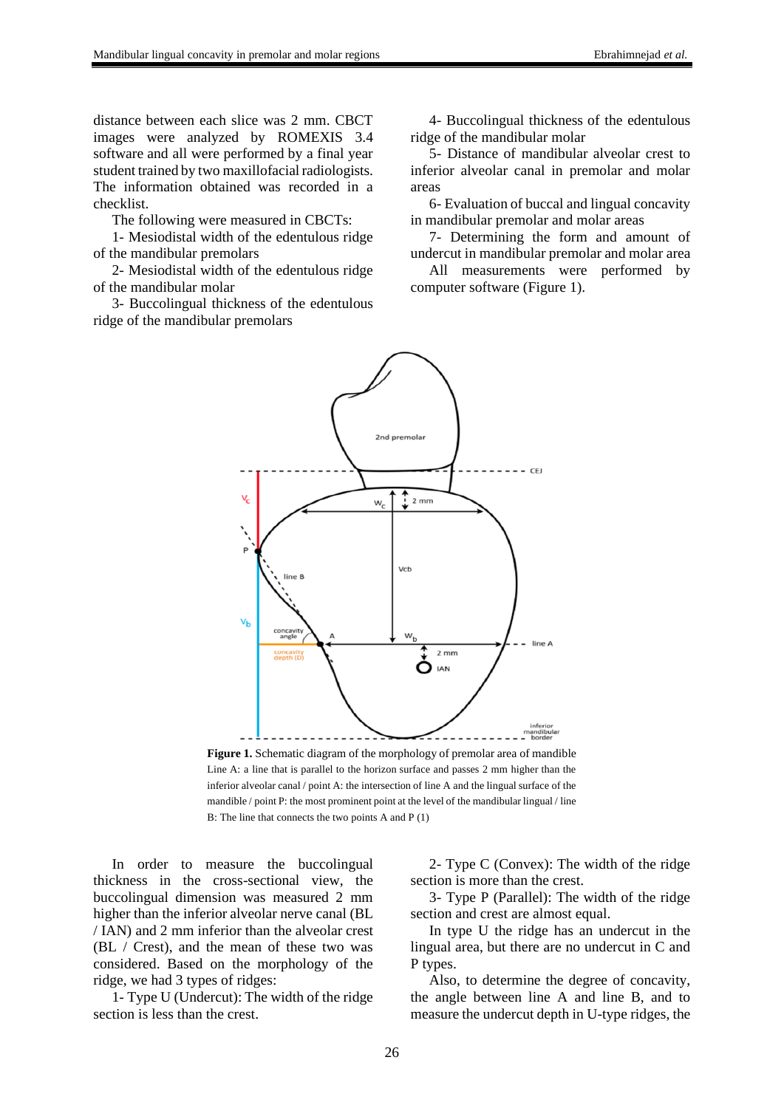distance between each slice was 2 mm. CBCT images were analyzed by ROMEXIS 3.4 software and all were performed by a final year student trained by two maxillofacial radiologists. The information obtained was recorded in a checklist.

The following were measured in CBCTs:

1- Mesiodistal width of the edentulous ridge of the mandibular premolars

2- Mesiodistal width of the edentulous ridge of the mandibular molar

3- Buccolingual thickness of the edentulous ridge of the mandibular premolars

4- Buccolingual thickness of the edentulous ridge of the mandibular molar

5- Distance of mandibular alveolar crest to inferior alveolar canal in premolar and molar areas

6- Evaluation of buccal and lingual concavity in mandibular premolar and molar areas

7- Determining the form and amount of undercut in mandibular premolar and molar area

All measurements were performed by computer software (Figure 1).



**Figure 1.** Schematic diagram of the morphology of premolar area of mandible Line A: a line that is parallel to the horizon surface and passes 2 mm higher than the inferior alveolar canal / point A: the intersection of line A and the lingual surface of the mandible / point P: the most prominent point at the level of the mandibular lingual / line B: The line that connects the two points A and P (1)

In order to measure the buccolingual thickness in the cross-sectional view, the buccolingual dimension was measured 2 mm higher than the inferior alveolar nerve canal (BL / IAN) and 2 mm inferior than the alveolar crest (BL / Crest), and the mean of these two was considered. Based on the morphology of the ridge, we had 3 types of ridges:

1- Type U (Undercut): The width of the ridge section is less than the crest.

2- Type C (Convex): The width of the ridge section is more than the crest.

3- Type P (Parallel): The width of the ridge section and crest are almost equal.

In type U the ridge has an undercut in the lingual area, but there are no undercut in C and P types.

Also, to determine the degree of concavity, the angle between line A and line B, and to measure the undercut depth in U-type ridges, the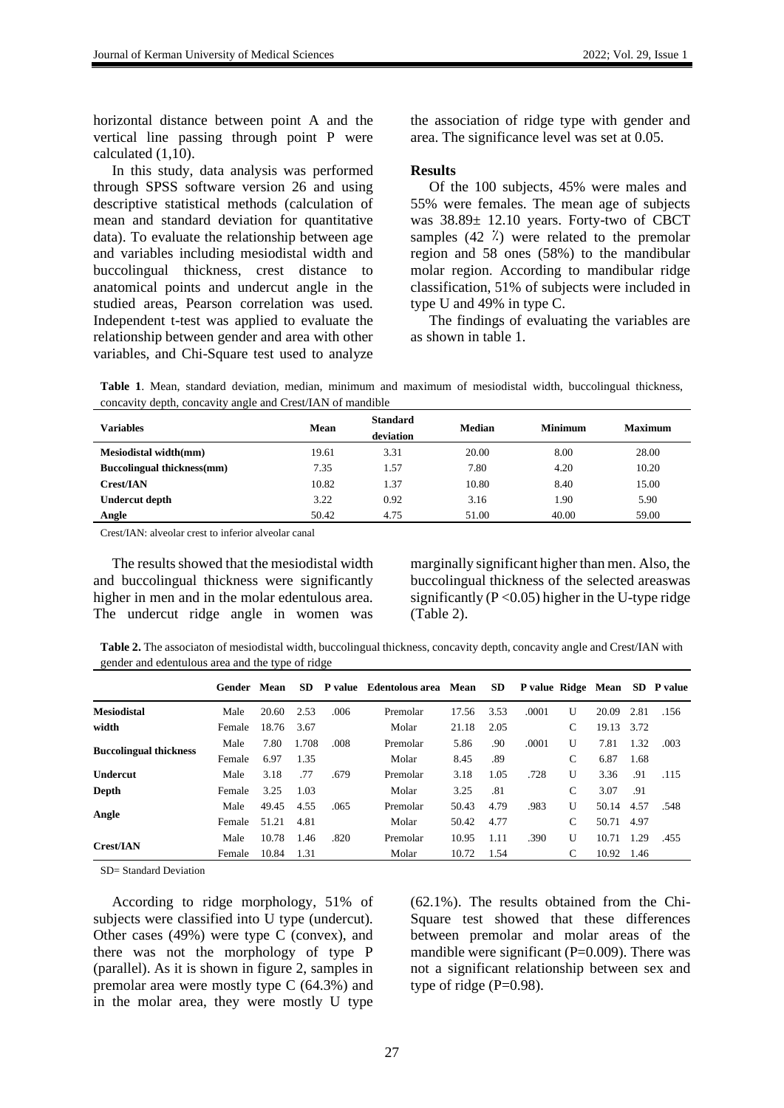horizontal distance between point A and the vertical line passing through point P were calculated (1,10).

In this study, data analysis was performed through SPSS software version 26 and using descriptive statistical methods (calculation of mean and standard deviation for quantitative data). To evaluate the relationship between age and variables including mesiodistal width and buccolingual thickness, crest distance to anatomical points and undercut angle in the studied areas, Pearson correlation was used. Independent t-test was applied to evaluate the relationship between gender and area with other variables, and Chi-Square test used to analyze the association of ridge type with gender and area. The significance level was set at 0.05.

#### **Results**

Of the 100 subjects, 45% were males and 55% were females. The mean age of subjects was 38.89± 12.10 years. Forty-two of CBCT samples  $(42 \t k)$  were related to the premolar region and 58 ones (58%) to the mandibular molar region. According to mandibular ridge classification, 51% of subjects were included in type U and 49% in type C.

The findings of evaluating the variables are as shown in table 1.

**Table 1**. Mean, standard deviation, median, minimum and maximum of mesiodistal width, buccolingual thickness, concavity depth, concavity angle and Crest/IAN of mandible

| <b>Variables</b>                  | Mean  | <b>Standard</b><br>deviation | <b>Median</b> | <b>Minimum</b> | <b>Maximum</b> |
|-----------------------------------|-------|------------------------------|---------------|----------------|----------------|
| <b>Mesiodistal width(mm)</b>      | 19.61 | 3.31                         | 20.00         | 8.00           | 28.00          |
| <b>Buccolingual thickness(mm)</b> | 7.35  | 1.57                         | 7.80          | 4.20           | 10.20          |
| <b>Crest/IAN</b>                  | 10.82 | 1.37                         | 10.80         | 8.40           | 15.00          |
| <b>Undercut depth</b>             | 3.22  | 0.92                         | 3.16          | 1.90           | 5.90           |
| Angle                             | 50.42 | 4.75                         | 51.00         | 40.00          | 59.00          |

Crest/IAN: alveolar crest to inferior alveolar canal

The results showed that the mesiodistal width and buccolingual thickness were significantly higher in men and in the molar edentulous area. The undercut ridge angle in women was marginally significant higher than men. Also, the buccolingual thickness of the selected areaswas significantly ( $P < 0.05$ ) higher in the U-type ridge (Table 2).

**Table 2.** The associaton of mesiodistal width, buccolingual thickness, concavity depth, concavity angle and Crest/IAN with gender and edentulous area and the type of ridge

|                               | Gender Mean |       | SD.   |      | P value Edentolous area Mean |       | <b>SD</b> |       |   |       |      | P value Ridge Mean SD P value |
|-------------------------------|-------------|-------|-------|------|------------------------------|-------|-----------|-------|---|-------|------|-------------------------------|
| <b>Mesiodistal</b>            | Male        | 20.60 | 2.53  | .006 | Premolar                     | 17.56 | 3.53      | .0001 | U | 20.09 | 2.81 | .156                          |
| width                         | Female      | 18.76 | 3.67  |      | Molar                        | 21.18 | 2.05      |       | C | 19.13 | 3.72 |                               |
| <b>Buccolingual thickness</b> | Male        | 7.80  | 1.708 | .008 | Premolar                     | 5.86  | .90       | .0001 | U | 7.81  | 1.32 | .003                          |
|                               | Female      | 6.97  | 1.35  |      | Molar                        | 8.45  | .89       |       | C | 6.87  | 1.68 |                               |
| <b>Undercut</b>               | Male        | 3.18  | .77   | .679 | Premolar                     | 3.18  | 1.05      | .728  | U | 3.36  | .91  | .115                          |
| Depth                         | Female      | 3.25  | 1.03  |      | Molar                        | 3.25  | .81       |       | C | 3.07  | .91  |                               |
| Angle                         | Male        | 49.45 | 4.55  | .065 | Premolar                     | 50.43 | 4.79      | .983  | U | 50.14 | 4.57 | .548                          |
|                               | Female      | 51.21 | 4.81  |      | Molar                        | 50.42 | 4.77      |       | C | 50.71 | 4.97 |                               |
|                               | Male        | 10.78 | 1.46  | .820 | Premolar                     | 10.95 | 1.11      | .390  | U | 10.71 | 1.29 | .455                          |
| <b>Crest/IAN</b>              | Female      | 10.84 | 1.31  |      | Molar                        | 10.72 | 1.54      |       | С | 10.92 | 1.46 |                               |

SD= Standard Deviation

According to ridge morphology, 51% of subjects were classified into U type (undercut). Other cases (49%) were type C (convex), and there was not the morphology of type P (parallel). As it is shown in figure 2, samples in premolar area were mostly type C (64.3%) and in the molar area, they were mostly U type

(62.1%). The results obtained from the Chi-Square test showed that these differences between premolar and molar areas of the mandible were significant (P=0.009). There was not a significant relationship between sex and type of ridge  $(P=0.98)$ .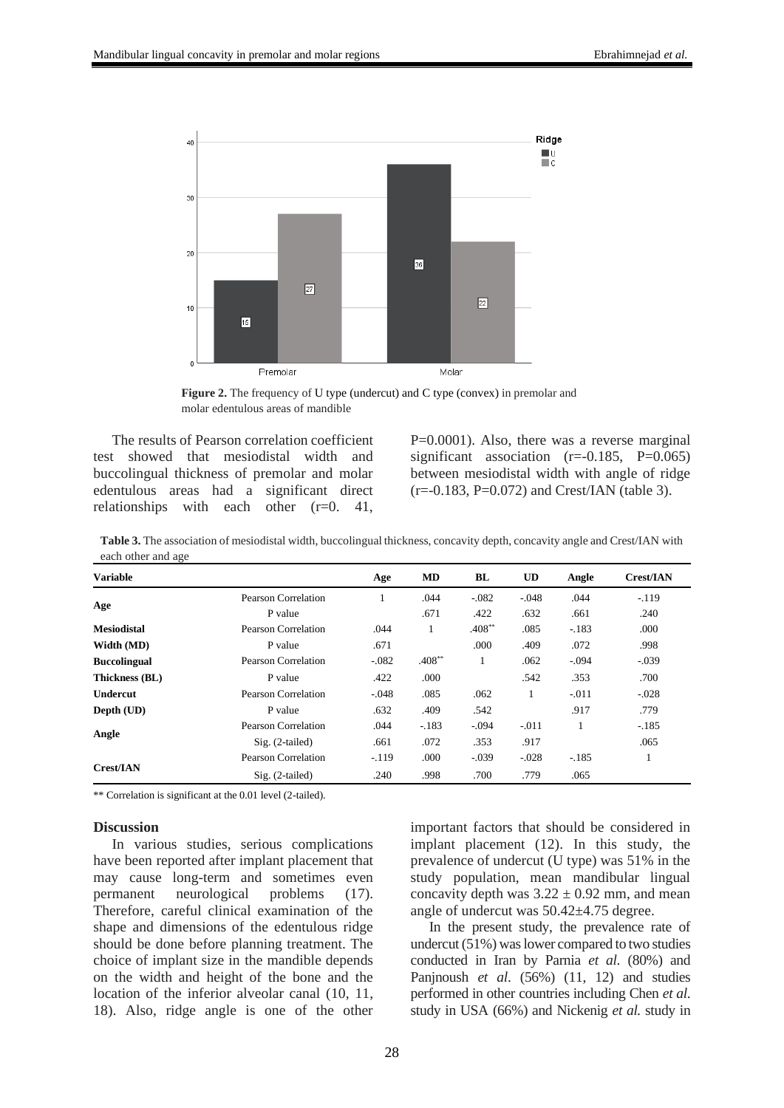

**Figure 2.** The frequency of U type (undercut) and C type (convex) in premolar and molar edentulous areas of mandible

The results of Pearson correlation coefficient test showed that mesiodistal width and buccolingual thickness of premolar and molar edentulous areas had a significant direct relationships with each other (r=0. 41,

P=0.0001). Also, there was a reverse marginal significant association  $(r=-0.185, P=0.065)$ between mesiodistal width with angle of ridge  $(r=-0.183, P=0.072)$  and Crest/IAN (table 3).

**Table 3.** The association of mesiodistal width, buccolingual thickness, concavity depth, concavity angle and Crest/IAN with each other and age

| <b>Variable</b>     |                     | Age     | MD       | BL       | <b>UD</b> | Angle   | <b>Crest/IAN</b> |
|---------------------|---------------------|---------|----------|----------|-----------|---------|------------------|
| Age                 | Pearson Correlation |         | .044     | $-.082$  | $-.048$   | .044    | $-.119$          |
|                     | P value             |         | .671     | .422     | .632      | .661    | .240             |
| <b>Mesiodistal</b>  | Pearson Correlation | .044    | л.       | $.408**$ | .085      | $-183$  | .000             |
| Width (MD)          | P value             | .671    |          | .000     | .409      | .072    | .998             |
| <b>Buccolingual</b> | Pearson Correlation | $-.082$ | $.408**$ | 1        | .062      | $-.094$ | $-.039$          |
| Thickness (BL)      | P value             | .422    | .000     |          | .542      | .353    | .700             |
| <b>Undercut</b>     | Pearson Correlation | $-.048$ | .085     | .062     |           | $-.011$ | $-.028$          |
| Depth (UD)          | P value             | .632    | .409     | .542     |           | .917    | .779             |
| Angle               | Pearson Correlation | .044    | $-.183$  | $-.094$  | $-.011$   |         | $-.185$          |
|                     | $Sig. (2-tailed)$   | .661    | .072     | .353     | .917      |         | .065             |
| <b>Crest/IAN</b>    | Pearson Correlation | $-.119$ | .000     | $-.039$  | $-.028$   | $-.185$ | 1                |
|                     | Sig. (2-tailed)     | .240    | .998     | .700     | .779      | .065    |                  |

\*\* Correlation is significant at the 0.01 level (2-tailed).

#### **Discussion**

In various studies, serious complications have been reported after implant placement that may cause long-term and sometimes even permanent neurological problems (17). Therefore, careful clinical examination of the shape and dimensions of the edentulous ridge should be done before planning treatment. The choice of implant size in the mandible depends on the width and height of the bone and the location of the inferior alveolar canal (10, 11, 18). Also, ridge angle is one of the other

important factors that should be considered in implant placement (12). In this study, the prevalence of undercut (U type) was 51% in the study population, mean mandibular lingual concavity depth was  $3.22 \pm 0.92$  mm, and mean angle of undercut was 50.42±4.75 degree.

In the present study, the prevalence rate of undercut (51%) was lower compared to two studies conducted in Iran by Parnia *et al*. (80%) and Panjnoush *et al*. (56%) (11, 12) and studies performed in other countries including Chen *et al*. study in USA (66%) and Nickenig *et al.* study in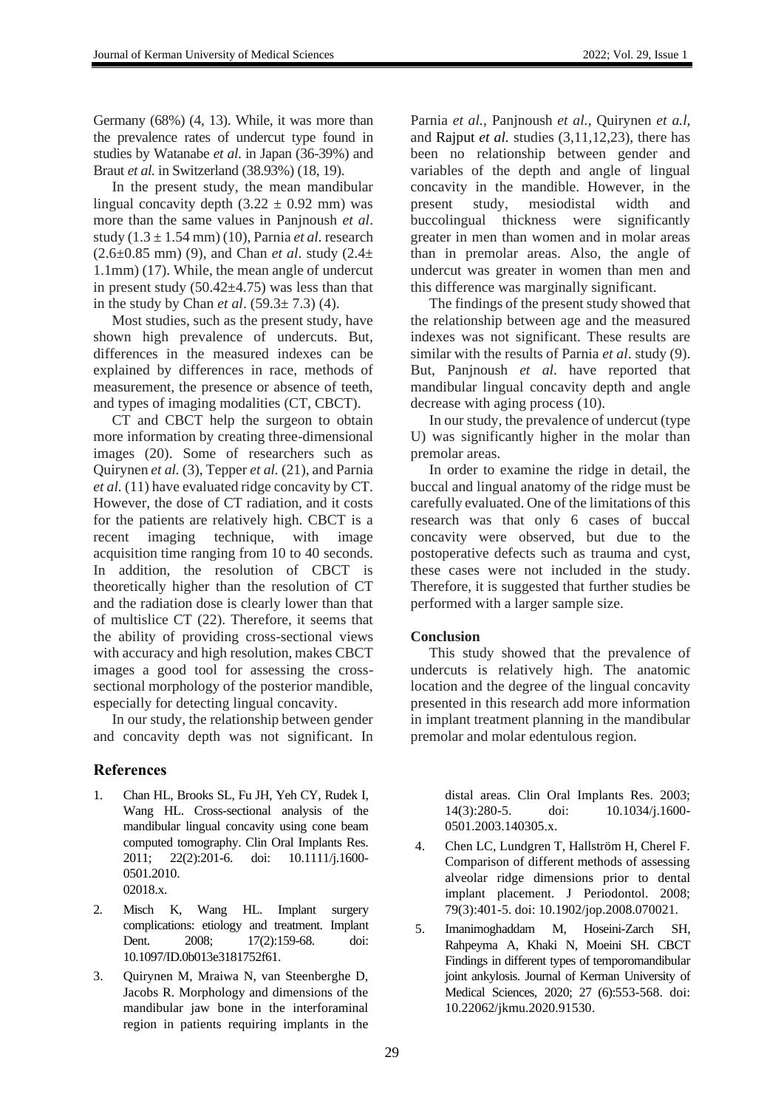Germany (68%) (4, 13). While, it was more than the prevalence rates of undercut type found in studies by Watanabe *et al*. in Japan (36-39%) and Braut *et al.* in Switzerland (38.93%) (18, 19).

In the present study, the mean mandibular lingual concavity depth  $(3.22 \pm 0.92 \text{ mm})$  was more than the same values in Panjnoush *et al*. study (1.3 ± 1.54 mm) (10), Parnia *et al.* research (2.6±0.85 mm) (9), and Chan *et al*. study (2.4± 1.1mm) (17). While, the mean angle of undercut in present study  $(50.42\pm4.75)$  was less than that in the study by Chan *et al*. (59.3± 7.3) (4).

Most studies, such as the present study, have shown high prevalence of undercuts. But, differences in the measured indexes can be explained by differences in race, methods of measurement, the presence or absence of teeth, and types of imaging modalities (CT, CBCT).

CT and CBCT help the surgeon to obtain more information by creating three-dimensional images (20). Some of researchers such as Quirynen *et al.* (3), Tepper *et al.* (21), and Parnia *et al.* (11) have evaluated ridge concavity by CT. However, the dose of CT radiation, and it costs for the patients are relatively high. CBCT is a recent imaging technique, with image acquisition time ranging from 10 to 40 seconds. In addition, the resolution of CBCT is theoretically higher than the resolution of CT and the radiation dose is clearly lower than that of multislice CT (22). Therefore, it seems that the ability of providing cross-sectional views with accuracy and high resolution, makes CBCT images a good tool for assessing the crosssectional morphology of the posterior mandible, especially for detecting lingual concavity.

In our study, the relationship between gender and concavity depth was not significant. In

## **References**

- 1. Chan HL, Brooks SL, Fu JH, Yeh CY, Rudek I, Wang HL. Cross-sectional analysis of the mandibular lingual concavity using cone beam computed tomography. Clin Oral Implants Res. 2011; 22(2):201-6. doi: 10.1111/j.1600- 0501.2010. 02018.x.
- 2. Misch K, Wang HL. Implant surgery complications: etiology and treatment. Implant Dent. 2008; 17(2):159-68. doi: 10.1097/ID.0b013e3181752f61.
- 3. Quirynen M, Mraiwa N, van Steenberghe D, Jacobs R. Morphology and dimensions of the mandibular jaw bone in the interforaminal region in patients requiring implants in the

Parnia *et al.*, Panjnoush *et al.*, Quirynen *et a.l,*  and Rajput *et al.* studies (3,11,12,23), there has been no relationship between gender and variables of the depth and angle of lingual concavity in the mandible. However, in the present study, mesiodistal width and buccolingual thickness were significantly greater in men than women and in molar areas than in premolar areas. Also, the angle of undercut was greater in women than men and this difference was marginally significant.

The findings of the present study showed that the relationship between age and the measured indexes was not significant. These results are similar with the results of Parnia *et al*. study (9). But, Panjnoush *et al*. have reported that mandibular lingual concavity depth and angle decrease with aging process (10).

In our study, the prevalence of undercut (type U) was significantly higher in the molar than premolar areas.

In order to examine the ridge in detail, the buccal and lingual anatomy of the ridge must be carefully evaluated. One of the limitations of this research was that only 6 cases of buccal concavity were observed, but due to the postoperative defects such as trauma and cyst, these cases were not included in the study. Therefore, it is suggested that further studies be performed with a larger sample size.

## **Conclusion**

This study showed that the prevalence of undercuts is relatively high. The anatomic location and the degree of the lingual concavity presented in this research add more information in implant treatment planning in the mandibular premolar and molar edentulous region.

> distal areas. Clin Oral Implants Res. 2003; 14(3):280-5. doi: 10.1034/j.1600- 0501.2003.140305.x.

- 4. Chen LC, Lundgren T, Hallström H, Cherel F. Comparison of different methods of assessing alveolar ridge dimensions prior to dental implant placement. J Periodontol. 2008; 79(3):401-5. doi: 10.1902/jop.2008.070021.
- 5. Imanimoghaddam M, Hoseini-Zarch SH, Rahpeyma A, Khaki N, Moeini SH. CBCT Findings in different types of temporomandibular joint ankylosis. Journal of Kerman University of Medical Sciences, 2020; 27 (6):553-568. doi: 10.22062/jkmu.2020.91530.